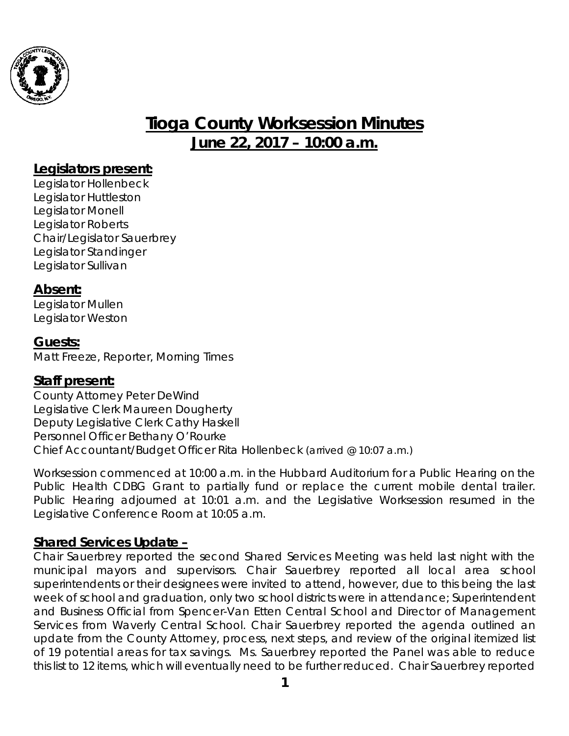

# **Tioga County Worksession Minutes June 22, 2017 – 10:00 a.m.**

## **Legislators present:**

Legislator Hollenbeck Legislator Huttleston Legislator Monell Legislator Roberts Chair/Legislator Sauerbrey Legislator Standinger Legislator Sullivan

## **Absent:**

Legislator Mullen Legislator Weston

## **Guests:**

Matt Freeze, Reporter, Morning Times

## **Staff present:**

County Attorney Peter DeWind Legislative Clerk Maureen Dougherty Deputy Legislative Clerk Cathy Haskell Personnel Officer Bethany O'Rourke Chief Accountant/Budget Officer Rita Hollenbeck *(arrived @ 10:07 a.m.)*

*Worksession commenced at 10:00 a.m. in the Hubbard Auditorium for a Public Hearing on the Public Health CDBG Grant to partially fund or replace the current mobile dental trailer. Public Hearing adjourned at 10:01 a.m. and the Legislative Worksession resumed in the Legislative Conference Room at 10:05 a.m.*

# **Shared Services Update –**

Chair Sauerbrey reported the second Shared Services Meeting was held last night with the municipal mayors and supervisors. Chair Sauerbrey reported all local area school superintendents or their designees were invited to attend, however, due to this being the last week of school and graduation, only two school districts were in attendance; Superintendent and Business Official from Spencer-Van Etten Central School and Director of Management Services from Waverly Central School. Chair Sauerbrey reported the agenda outlined an update from the County Attorney, process, next steps, and review of the original itemized list of 19 potential areas for tax savings. Ms. Sauerbrey reported the Panel was able to reduce this list to 12 items, which will eventually need to be further reduced. Chair Sauerbrey reported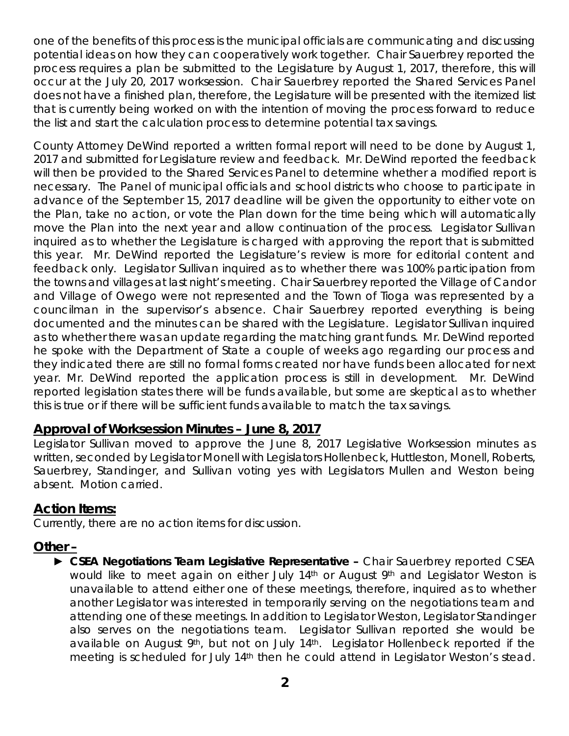one of the benefits of this process is the municipal officials are communicating and discussing potential ideas on how they can cooperatively work together. Chair Sauerbrey reported the process requires a plan be submitted to the Legislature by August 1, 2017, therefore, this will occur at the July 20, 2017 worksession. Chair Sauerbrey reported the Shared Services Panel does not have a finished plan, therefore, the Legislature will be presented with the itemized list that is currently being worked on with the intention of moving the process forward to reduce the list and start the calculation process to determine potential tax savings.

County Attorney DeWind reported a written formal report will need to be done by August 1, 2017 and submitted for Legislature review and feedback. Mr. DeWind reported the feedback will then be provided to the Shared Services Panel to determine whether a modified report is necessary. The Panel of municipal officials and school districts who choose to participate in advance of the September 15, 2017 deadline will be given the opportunity to either vote on the Plan, take no action, or vote the Plan down for the time being which will automatically move the Plan into the next year and allow continuation of the process. Legislator Sullivan inquired as to whether the Legislature is charged with approving the report that is submitted this year. Mr. DeWind reported the Legislature's review is more for editorial content and feedback only. Legislator Sullivan inquired as to whether there was 100% participation from the towns and villages at last night's meeting. Chair Sauerbrey reported the Village of Candor and Village of Owego were not represented and the Town of Tioga was represented by a councilman in the supervisor's absence. Chair Sauerbrey reported everything is being documented and the minutes can be shared with the Legislature. Legislator Sullivan inquired as to whether there was an update regarding the matching grant funds. Mr. DeWind reported he spoke with the Department of State a couple of weeks ago regarding our process and they indicated there are still no formal forms created nor have funds been allocated for next year. Mr. DeWind reported the application process is still in development. Mr. DeWind reported legislation states there will be funds available, but some are skeptical as to whether this is true or if there will be sufficient funds available to match the tax savings.

### **Approval of Worksession Minutes – June 8, 2017**

Legislator Sullivan moved to approve the June 8, 2017 Legislative Worksession minutes as written, seconded by Legislator Monell with Legislators Hollenbeck, Huttleston, Monell, Roberts, Sauerbrey, Standinger, and Sullivan voting yes with Legislators Mullen and Weston being absent. Motion carried.

## **Action Items:**

Currently, there are no action items for discussion.

## **Other –**

► *CSEA Negotiations Team Legislative Representative –* Chair Sauerbrey reported CSEA would like to meet again on either July 14<sup>th</sup> or August 9<sup>th</sup> and Legislator Weston is unavailable to attend either one of these meetings, therefore, inquired as to whether another Legislator was interested in temporarily serving on the negotiations team and attending one of these meetings. In addition to Legislator Weston, Legislator Standinger also serves on the negotiations team. Legislator Sullivan reported she would be available on August 9<sup>th</sup>, but not on July 14<sup>th</sup>. Legislator Hollenbeck reported if the meeting is scheduled for July 14<sup>th</sup> then he could attend in Legislator Weston's stead.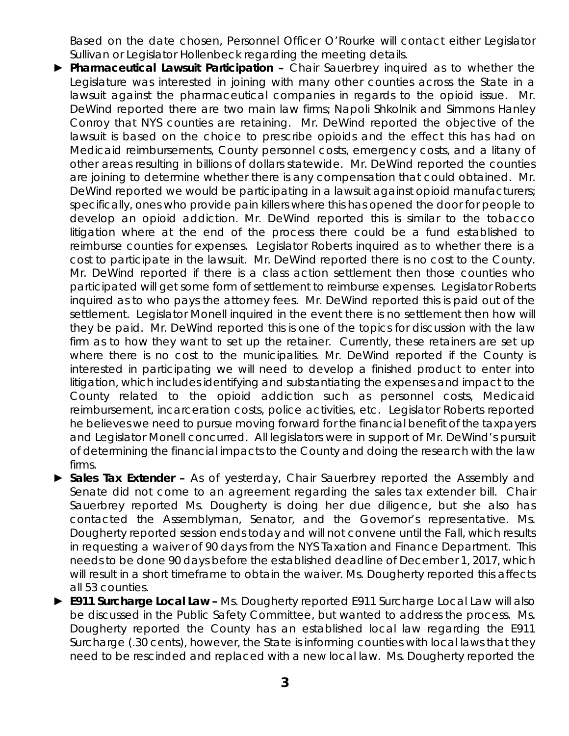Based on the date chosen, Personnel Officer O'Rourke will contact either Legislator Sullivan or Legislator Hollenbeck regarding the meeting details.

- ► *Pharmaceutical Lawsuit Participation –* Chair Sauerbrey inquired as to whether the Legislature was interested in joining with many other counties across the State in a lawsuit against the pharmaceutical companies in regards to the opioid issue. Mr. DeWind reported there are two main law firms; Napoli Shkolnik and Simmons Hanley Conroy that NYS counties are retaining. Mr. DeWind reported the objective of the lawsuit is based on the choice to prescribe opioids and the effect this has had on Medicaid reimbursements, County personnel costs, emergency costs, and a litany of other areas resulting in billions of dollars statewide. Mr. DeWind reported the counties are joining to determine whether there is any compensation that could obtained. Mr. DeWind reported we would be participating in a lawsuit against opioid manufacturers; specifically, ones who provide pain killers where this has opened the door for people to develop an opioid addiction. Mr. DeWind reported this is similar to the tobacco litigation where at the end of the process there could be a fund established to reimburse counties for expenses. Legislator Roberts inquired as to whether there is a cost to participate in the lawsuit. Mr. DeWind reported there is no cost to the County. Mr. DeWind reported if there is a class action settlement then those counties who participated will get some form of settlement to reimburse expenses. Legislator Roberts inquired as to who pays the attorney fees. Mr. DeWind reported this is paid out of the settlement. Legislator Monell inquired in the event there is no settlement then how will they be paid. Mr. DeWind reported this is one of the topics for discussion with the law firm as to how they want to set up the retainer. Currently, these retainers are set up where there is no cost to the municipalities. Mr. DeWind reported if the County is interested in participating we will need to develop a finished product to enter into litigation, which includes identifying and substantiating the expenses and impact to the County related to the opioid addiction such as personnel costs, Medicaid reimbursement, incarceration costs, police activities, etc. Legislator Roberts reported he believes we need to pursue moving forward for the financial benefit of the taxpayers and Legislator Monell concurred. All legislators were in support of Mr. DeWind's pursuit of determining the financial impacts to the County and doing the research with the law firms.
- ► *Sales Tax Extender –* As of yesterday, Chair Sauerbrey reported the Assembly and Senate did not come to an agreement regarding the sales tax extender bill. Chair Sauerbrey reported Ms. Dougherty is doing her due diligence, but she also has contacted the Assemblyman, Senator, and the Governor's representative. Ms. Dougherty reported session ends today and will not convene until the Fall, which results in requesting a waiver of 90 days from the NYS Taxation and Finance Department. This needs to be done 90 days before the established deadline of December 1, 2017, which will result in a short timeframe to obtain the waiver. Ms. Dougherty reported this affects all 53 counties.
- ► *E911 Surcharge Local Law –* Ms. Dougherty reported E911 Surcharge Local Law will also be discussed in the Public Safety Committee, but wanted to address the process. Ms. Dougherty reported the County has an established local law regarding the E911 Surcharge (.30 cents), however, the State is informing counties with local laws that they need to be rescinded and replaced with a new local law. Ms. Dougherty reported the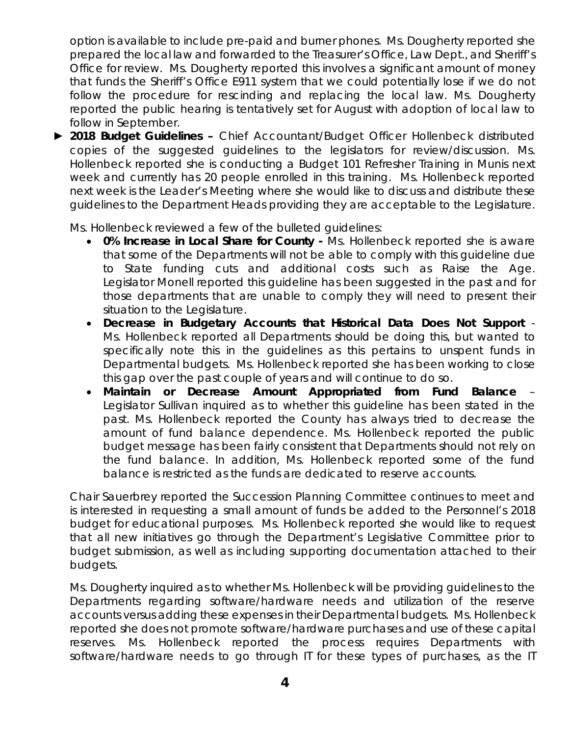option is available to include pre-paid and burner phones. Ms. Dougherty reported she prepared the local law and forwarded to the Treasurer's Office, Law Dept., and Sheriff's Office for review. Ms. Dougherty reported this involves a significant amount of money that funds the Sheriff's Office E911 system that we could potentially lose if we do not follow the procedure for rescinding and replacing the local law. Ms. Dougherty reported the public hearing is tentatively set for August with adoption of local law to follow in September.

► *2018 Budget Guidelines –* Chief Accountant/Budget Officer Hollenbeck distributed copies of the suggested guidelines to the legislators for review/discussion. Ms. Hollenbeck reported she is conducting a Budget 101 Refresher Training in Munis next week and currently has 20 people enrolled in this training. Ms. Hollenbeck reported next week is the Leader's Meeting where she would like to discuss and distribute these guidelines to the Department Heads providing they are acceptable to the Legislature.

Ms. Hollenbeck reviewed a few of the bulleted guidelines:

- *0% Increase in Local Share for County -* Ms. Hollenbeck reported she is aware that some of the Departments will not be able to comply with this guideline due to State funding cuts and additional costs such as Raise the Age. Legislator Monell reported this guideline has been suggested in the past and for those departments that are unable to comply they will need to present their situation to the Legislature.
- *Decrease in Budgetary Accounts that Historical Data Does Not Support* Ms. Hollenbeck reported all Departments should be doing this, but wanted to specifically note this in the guidelines as this pertains to unspent funds in Departmental budgets. Ms. Hollenbeck reported she has been working to close this gap over the past couple of years and will continue to do so.
- *Maintain or Decrease Amount Appropriated from Fund Balance*  Legislator Sullivan inquired as to whether this guideline has been stated in the past. Ms. Hollenbeck reported the County has always tried to decrease the amount of fund balance dependence. Ms. Hollenbeck reported the public budget message has been fairly consistent that Departments should not rely on the fund balance. In addition, Ms. Hollenbeck reported some of the fund balance is restricted as the funds are dedicated to reserve accounts.

Chair Sauerbrey reported the Succession Planning Committee continues to meet and is interested in requesting a small amount of funds be added to the Personnel's 2018 budget for educational purposes. Ms. Hollenbeck reported she would like to request that all new initiatives go through the Department's Legislative Committee prior to budget submission, as well as including supporting documentation attached to their budgets.

Ms. Dougherty inquired as to whether Ms. Hollenbeck will be providing guidelines to the Departments regarding software/hardware needs and utilization of the reserve accounts versus adding these expenses in their Departmental budgets. Ms. Hollenbeck reported she does not promote software/hardware purchases and use of these capital reserves. Ms. Hollenbeck reported the process requires Departments with software/hardware needs to go through IT for these types of purchases, as the IT